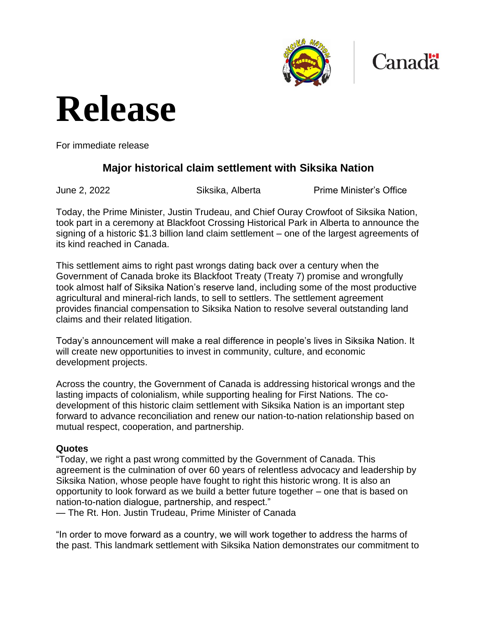



# **Release**

For immediate release

### **Major historical claim settlement with Siksika Nation**

June 2, 2022 Siksika, Alberta Prime Minister's Office

Today, the Prime Minister, Justin Trudeau, and Chief Ouray Crowfoot of Siksika Nation, took part in a ceremony at Blackfoot Crossing Historical Park in Alberta to announce the signing of a historic \$1.3 billion land claim settlement – one of the largest agreements of its kind reached in Canada.

This settlement aims to right past wrongs dating back over a century when the Government of Canada broke its Blackfoot Treaty (Treaty 7) promise and wrongfully took almost half of Siksika Nation's reserve land, including some of the most productive agricultural and mineral-rich lands, to sell to settlers. The settlement agreement provides financial compensation to Siksika Nation to resolve several outstanding land claims and their related litigation.

Today's announcement will make a real difference in people's lives in Siksika Nation. It will create new opportunities to invest in community, culture, and economic development projects.

Across the country, the Government of Canada is addressing historical wrongs and the lasting impacts of colonialism, while supporting healing for First Nations. The codevelopment of this historic claim settlement with Siksika Nation is an important step forward to advance reconciliation and renew our nation-to-nation relationship based on mutual respect, cooperation, and partnership.

#### **Quotes**

"Today, we right a past wrong committed by the Government of Canada. This agreement is the culmination of over 60 years of relentless advocacy and leadership by Siksika Nation, whose people have fought to right this historic wrong. It is also an opportunity to look forward as we build a better future together – one that is based on nation-to-nation dialogue, partnership, and respect."

— The Rt. Hon. Justin Trudeau, Prime Minister of Canada

"In order to move forward as a country, we will work together to address the harms of the past. This landmark settlement with Siksika Nation demonstrates our commitment to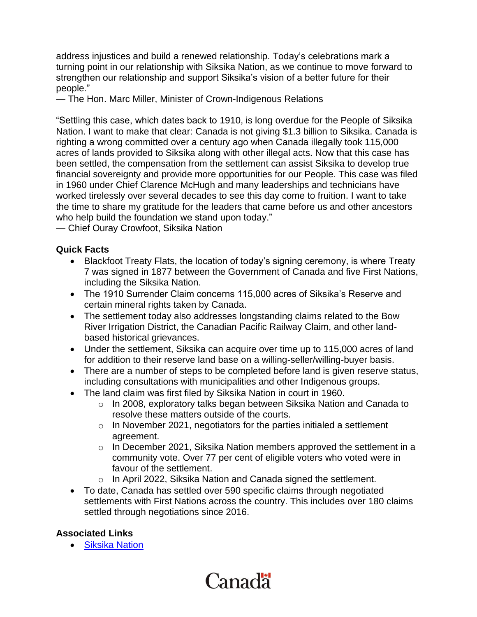address injustices and build a renewed relationship. Today's celebrations mark a turning point in our relationship with Siksika Nation, as we continue to move forward to strengthen our relationship and support Siksika's vision of a better future for their people."

— The Hon. Marc Miller, Minister of Crown-Indigenous Relations

"Settling this case, which dates back to 1910, is long overdue for the People of Siksika Nation. I want to make that clear: Canada is not giving \$1.3 billion to Siksika. Canada is righting a wrong committed over a century ago when Canada illegally took 115,000 acres of lands provided to Siksika along with other illegal acts. Now that this case has been settled, the compensation from the settlement can assist Siksika to develop true financial sovereignty and provide more opportunities for our People. This case was filed in 1960 under Chief Clarence McHugh and many leaderships and technicians have worked tirelessly over several decades to see this day come to fruition. I want to take the time to share my gratitude for the leaders that came before us and other ancestors who help build the foundation we stand upon today."

— Chief Ouray Crowfoot, Siksika Nation

#### **Quick Facts**

- Blackfoot Treaty Flats, the location of today's signing ceremony, is where Treaty 7 was signed in 1877 between the Government of Canada and five First Nations, including the Siksika Nation.
- The 1910 Surrender Claim concerns 115,000 acres of Siksika's Reserve and certain mineral rights taken by Canada.
- The settlement today also addresses longstanding claims related to the Bow River Irrigation District, the Canadian Pacific Railway Claim, and other landbased historical grievances.
- Under the settlement, Siksika can acquire over time up to 115,000 acres of land for addition to their reserve land base on a willing-seller/willing-buyer basis.
- There are a number of steps to be completed before land is given reserve status, including consultations with municipalities and other Indigenous groups.
- The land claim was first filed by Siksika Nation in court in 1960.
	- $\circ$  In 2008, exploratory talks began between Siksika Nation and Canada to resolve these matters outside of the courts.
	- $\circ$  In November 2021, negotiators for the parties initialed a settlement agreement.
	- $\circ$  In December 2021, Siksika Nation members approved the settlement in a community vote. Over 77 per cent of eligible voters who voted were in favour of the settlement.
	- o In April 2022, Siksika Nation and Canada signed the settlement.
- To date, Canada has settled over 590 specific claims through negotiated settlements with First Nations across the country. This includes over 180 claims settled through negotiations since 2016.

#### **Associated Links**

• [Siksika Nation](https://siksikanation.com/)

## Canadä